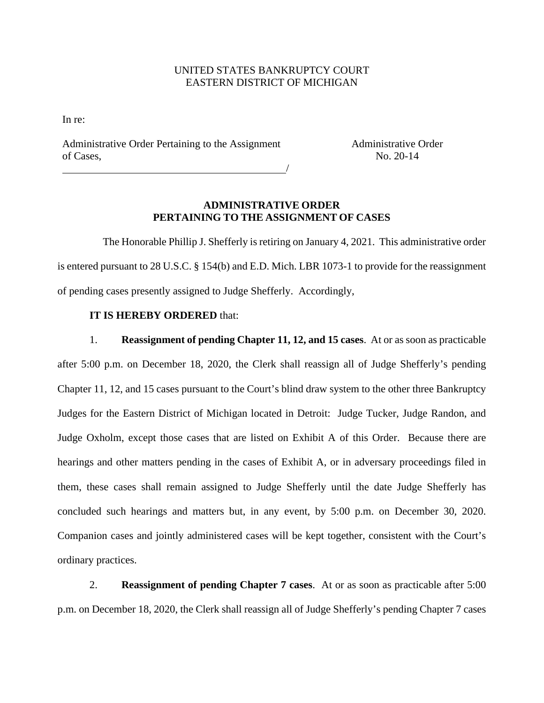## UNITED STATES BANKRUPTCY COURT EASTERN DISTRICT OF MICHIGAN

In re:

Administrative Order Pertaining to the Assignment of Cases,

Administrative Order No. 20-14

## **ADMINISTRATIVE ORDER PERTAINING TO THE ASSIGNMENT OF CASES**

/

 The Honorable Phillip J. Shefferly is retiring on January 4, 2021. This administrative order is entered pursuant to 28 U.S.C. § 154(b) and E.D. Mich. LBR 1073-1 to provide for the reassignment of pending cases presently assigned to Judge Shefferly. Accordingly,

## **IT IS HEREBY ORDERED** that:

1. **Reassignment of pending Chapter 11, 12, and 15 cases**. At or as soon as practicable after 5:00 p.m. on December 18, 2020, the Clerk shall reassign all of Judge Shefferly's pending Chapter 11, 12, and 15 cases pursuant to the Court's blind draw system to the other three Bankruptcy Judges for the Eastern District of Michigan located in Detroit: Judge Tucker, Judge Randon, and Judge Oxholm, except those cases that are listed on Exhibit A of this Order. Because there are hearings and other matters pending in the cases of Exhibit A, or in adversary proceedings filed in them, these cases shall remain assigned to Judge Shefferly until the date Judge Shefferly has concluded such hearings and matters but, in any event, by 5:00 p.m. on December 30, 2020. Companion cases and jointly administered cases will be kept together, consistent with the Court's ordinary practices.

2. **Reassignment of pending Chapter 7 cases**. At or as soon as practicable after 5:00 p.m. on December 18, 2020, the Clerk shall reassign all of Judge Shefferly's pending Chapter 7 cases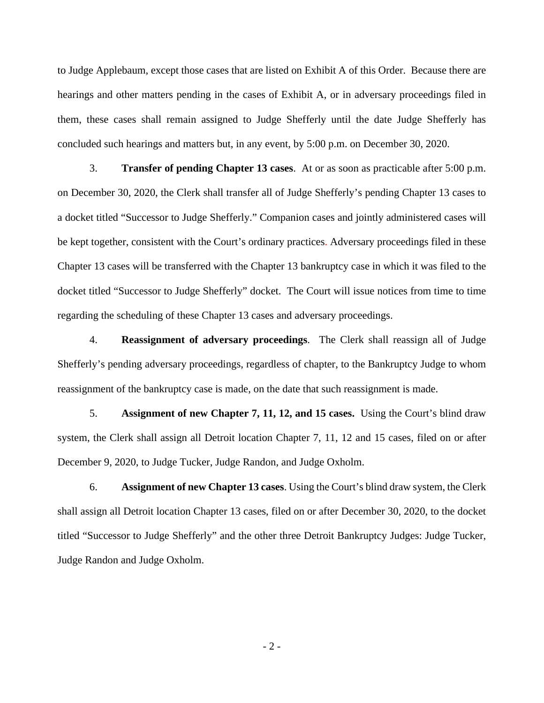to Judge Applebaum, except those cases that are listed on Exhibit A of this Order. Because there are hearings and other matters pending in the cases of Exhibit A, or in adversary proceedings filed in them, these cases shall remain assigned to Judge Shefferly until the date Judge Shefferly has concluded such hearings and matters but, in any event, by 5:00 p.m. on December 30, 2020.

3. **Transfer of pending Chapter 13 cases**. At or as soon as practicable after 5:00 p.m. on December 30, 2020, the Clerk shall transfer all of Judge Shefferly's pending Chapter 13 cases to a docket titled "Successor to Judge Shefferly." Companion cases and jointly administered cases will be kept together, consistent with the Court's ordinary practices. Adversary proceedings filed in these Chapter 13 cases will be transferred with the Chapter 13 bankruptcy case in which it was filed to the docket titled "Successor to Judge Shefferly" docket. The Court will issue notices from time to time regarding the scheduling of these Chapter 13 cases and adversary proceedings.

4. **Reassignment of adversary proceedings**. The Clerk shall reassign all of Judge Shefferly's pending adversary proceedings, regardless of chapter, to the Bankruptcy Judge to whom reassignment of the bankruptcy case is made, on the date that such reassignment is made.

5. **Assignment of new Chapter 7, 11, 12, and 15 cases.** Using the Court's blind draw system, the Clerk shall assign all Detroit location Chapter 7, 11, 12 and 15 cases, filed on or after December 9, 2020, to Judge Tucker, Judge Randon, and Judge Oxholm.

6. **Assignment of new Chapter 13 cases**. Using the Court's blind draw system, the Clerk shall assign all Detroit location Chapter 13 cases, filed on or after December 30, 2020, to the docket titled "Successor to Judge Shefferly" and the other three Detroit Bankruptcy Judges: Judge Tucker, Judge Randon and Judge Oxholm.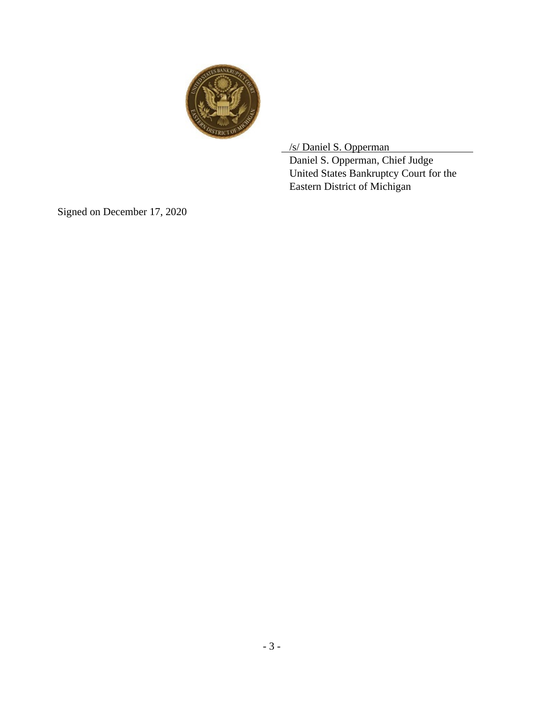

/s/ Daniel S. Opperman

 Daniel S. Opperman, Chief Judge United States Bankruptcy Court for the Eastern District of Michigan

Signed on December 17, 2020